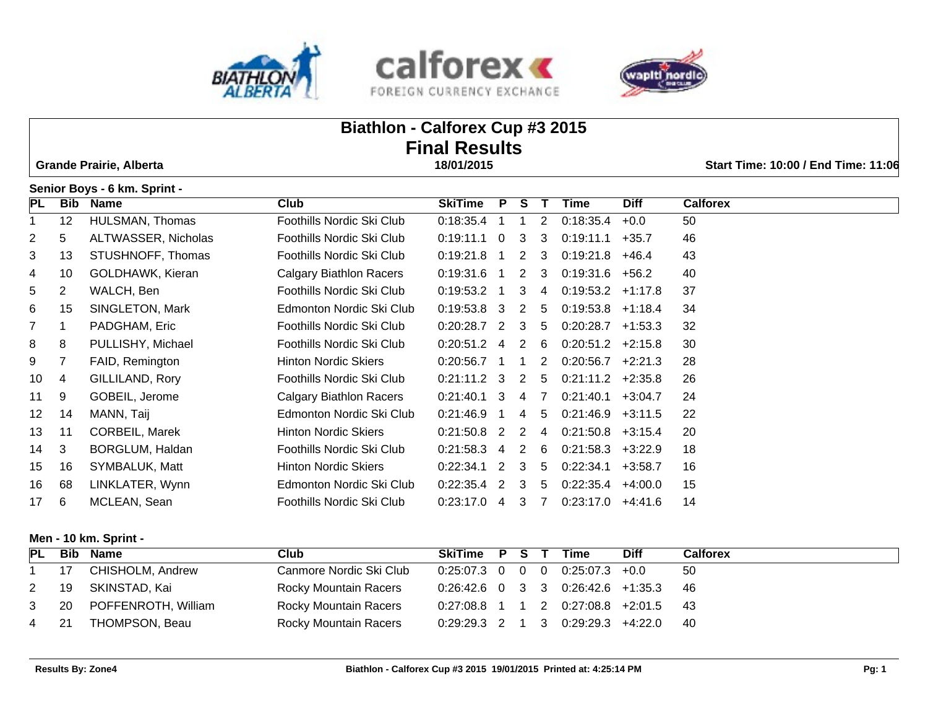





# **Biathlon - Calforex Cup #3 2015 Final Results Grande Prairie, Alberta 18/01/2015 Start Time: 10:00 / End Time: 11:06 Senior Boys - 6 km. Sprint - PL Bib Name Club SkiTime P S T Time Diff Calforex** 12 HULSMAN, Thomas Foothills Nordic Ski Club 0:18:35.4 1 1 2 0:18:35.4 +0.0 50 5 ALTWASSER, Nicholas Foothills Nordic Ski Club 0:19:11.1 0 3 3 0:19:11.1 +35.7 46 13 STUSHNOFF, Thomas Foothills Nordic Ski Club 0:19:21.8 1 2 3 0:19:21.8 +46.4 43 10 GOLDHAWK, Kieran Calgary Biathlon Racers 0:19:31.6 1 2 3 0:19:31.6 +56.2 40 2 WALCH, Ben Foothills Nordic Ski Club 0:19:53.2 1 3 4 0:19:53.2 +1:17.8 37 15 SINGLETON, Mark Edmonton Nordic Ski Club 0:19:53.8 3 2 5 0:19:53.8 +1:18.4 34 1 PADGHAM, Eric Foothills Nordic Ski Club 0:20:28.7 2 3 5 0:20:28.7 +1:53.3 32 8 PULLISHY, Michael Foothills Nordic Ski Club 0:20:51.2 4 2 6 0:20:51.2 +2:15.8 30 7 FAID, Remington Hinton Nordic Skiers 0:20:56.7 1 1 2 0:20:56.7 +2:21.3 28 4 GILLILAND, Rory Foothills Nordic Ski Club 0:21:11.2 3 2 5 0:21:11.2 +2:35.8 26

 9 GOBEIL, Jerome Calgary Biathlon Racers 0:21:40.1 3 4 7 0:21:40.1 +3:04.7 24 14 MANN, Taij Edmonton Nordic Ski Club 0:21:46.9 1 4 5 0:21:46.9 +3:11.5 22 11 CORBEIL, Marek Hinton Nordic Skiers 0:21:50.8 2 2 4 0:21:50.8 +3:15.4 20 3 BORGLUM, Haldan Foothills Nordic Ski Club 0:21:58.3 4 2 6 0:21:58.3 +3:22.9 18 16 SYMBALUK, Matt Hinton Nordic Skiers 0:22:34.1 2 3 5 0:22:34.1 +3:58.7 16

|      | 16 68 LINKLATER, Wynn | Edmonton Nordic Ski Club  | $0:22:35.4$ 2 3 5 0:22:35.4 +4:00.0 |  |  | - 15 |
|------|-----------------------|---------------------------|-------------------------------------|--|--|------|
| 17 6 | MCLEAN, Sean          | Foothills Nordic Ski Club | $0:23:17.0$ 4 3 7 0:23:17.0 +4:41.6 |  |  | - 14 |
|      |                       |                           |                                     |  |  |      |

# **Men - 10 km. Sprint -**

| PL   | <b>Bib</b> | Name                     | Club                    | SkiTime P S T Time                     |  |                                     | <b>Diff</b> | Calforex |
|------|------------|--------------------------|-------------------------|----------------------------------------|--|-------------------------------------|-------------|----------|
|      | 17         | CHISHOLM, Andrew         | Canmore Nordic Ski Club | $0:25:07.3$ 0 0 0 0:25:07.3 +0.0       |  |                                     |             | -50      |
| 2    |            | 19 SKINSTAD, Kai         | Rocky Mountain Racers   | $0:26:42.6$ 0 3 3 0:26:42.6 +1:35.3 46 |  |                                     |             |          |
|      |            | 3 20 POFFENROTH, William | Rocky Mountain Racers   | 0:27:08.8 1 1 2 0:27:08.8 +2:01.5 43   |  |                                     |             |          |
| 4 21 |            | THOMPSON, Beau           | Rocky Mountain Racers   |                                        |  | $0:29:29.3$ 2 1 3 0:29:29.3 +4:22.0 |             | - 40     |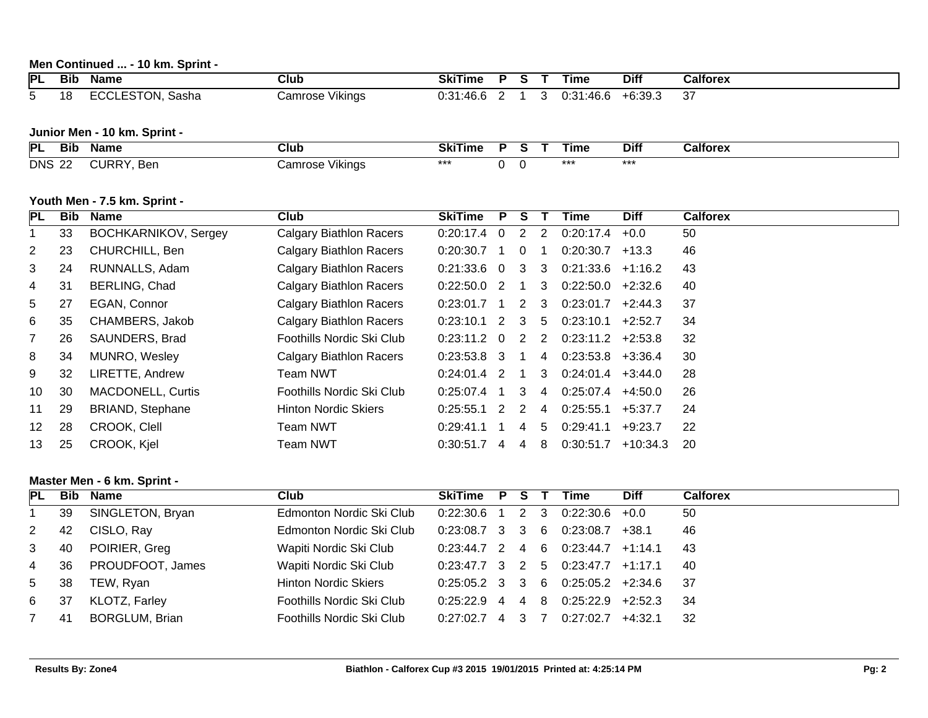# **Men Continued ... - 10 km. Sprint -**

| IPL | <b>Bib</b> | Name                                                          | Club                   | SkiTime              |  |     | --<br>Γıme                                 | Diff          | Calforex      |
|-----|------------|---------------------------------------------------------------|------------------------|----------------------|--|-----|--------------------------------------------|---------------|---------------|
|     | 1 O<br>ם ו | $-2-2$<br>$-00$<br>-<br>Sasha<br>י י<br>- 1<br>TUN.<br>$\sim$ | <br>Camrose<br>Vikinas | ABC<br>70. U<br>U.JI |  | . . | ACC<br>0.01<br>$\mathbf{m}$<br>70.L<br>ບ.ບ | -6:39.3<br>⊥∽ | $\sim$<br>، ب |

# **Junior Men - 10 km. Sprint -**

| <b>PI</b><br>Bib     | Name                | Club                           | SkiTime |     | . ıme | Diff  | Calforex |
|----------------------|---------------------|--------------------------------|---------|-----|-------|-------|----------|
| <b>DNS</b><br>$\sim$ | URRY.<br>Ber<br>. . | $\cdots$<br>amrose:<br>Vikings | ***     | . . | $***$ | $***$ |          |

# **Youth Men - 7.5 km. Sprint -**

| PL.             | Bib | Name                        | <b>Club</b>                    | <b>SkiTime</b> | P              | s |   | Time                | <b>Diff</b> | <b>Calforex</b> |
|-----------------|-----|-----------------------------|--------------------------------|----------------|----------------|---|---|---------------------|-------------|-----------------|
|                 | 33  | <b>BOCHKARNIKOV, Sergey</b> | <b>Calgary Biathlon Racers</b> | $0:20:17.4$ 0  |                | 2 | 2 | 0:20:17.4           | $+0.0$      | 50              |
| $\mathbf{2}$    | 23  | CHURCHILL, Ben              | Calgary Biathlon Racers        | 0:20:30.7      |                | 0 |   | 0:20:30.7           | +13.3       | 46              |
| 3               | 24  | RUNNALLS, Adam              | Calgary Biathlon Racers        | $0.21.33.6$ 0  |                | 3 | 3 | 0:21:33.6           | +1:16.2     | 43              |
| 4               | 31  | BERLING, Chad               | Calgary Biathlon Racers        | $0:22:50.0$ 2  |                |   | 3 | 0:22:50.0           | +2:32.6     | 40              |
| 5               | 27  | EGAN, Connor                | <b>Calgary Biathlon Racers</b> | 0:23:01.7      |                | 2 | 3 | 0:23:01.7           | $+2:44.3$   | 37              |
| 6               | 35  | CHAMBERS, Jakob             | <b>Calgary Biathlon Racers</b> | $0:23:10.1$ 2  |                | 3 | 5 | 0:23:10.1           | $+2:52.7$   | 34              |
| $\overline{7}$  | 26  | SAUNDERS, Brad              | Foothills Nordic Ski Club      | $0:23:11.2$ 0  |                | 2 | 2 | $0:23:11.2$ +2:53.8 |             | 32              |
| 8               | 34  | MUNRO, Wesley               | <b>Calgary Biathlon Racers</b> | $0:23:53.8$ 3  |                |   | 4 | $0:23:53.8$ +3:36.4 |             | 30              |
| 9               | 32  | LIRETTE, Andrew             | Team NWT                       | $0:24:01.4$ 2  |                |   | 3 | 0:24:01.4           | $+3:44.0$   | 28              |
| 10              | 30  | <b>MACDONELL, Curtis</b>    | Foothills Nordic Ski Club      | $0:25:07.4$ 1  |                | 3 | 4 | 0:25:07.4           | +4:50.0     | 26              |
| 11              | 29  | <b>BRIAND, Stephane</b>     | <b>Hinton Nordic Skiers</b>    | 0:25:55.1      | $\overline{2}$ | 2 | 4 | 0:25:55.1           | $+5:37.7$   | 24              |
| 12 <sup>°</sup> | 28  | CROOK, Clell                | <b>Team NWT</b>                | 0:29:41.1      |                | 4 | 5 | 0:29:41.1           | $+9:23.7$   | 22              |
| 13              | 25  | CROOK, Kjel                 | Team NWT                       | 0:30:51.7      | 4              | 4 | 8 | 0:30:51.7           | $+10:34.3$  | 20              |

# **Master Men - 6 km. Sprint -**

| <b>PL</b>      |     | Bib Name              | <b>Club</b>                 | SkiTime P         | - S            |     | Time                                | <b>Diff</b> | <b>Calforex</b> |
|----------------|-----|-----------------------|-----------------------------|-------------------|----------------|-----|-------------------------------------|-------------|-----------------|
|                | 39  | SINGLETON, Bryan      | Edmonton Nordic Ski Club    | 0:22:30.6         | 2 3            |     | 0:22:30.6                           | +0.0        | 50              |
| 2              | 42  | CISLO, Ray            | Edmonton Nordic Ski Club    | $0:23:08.7$ 3 3   |                | - 6 | 0:23:08.7                           | +38.1       | 46              |
| 3              | 40  | POIRIER, Greg         | Wapiti Nordic Ski Club      | $0:23:44.7$ 2 4 6 |                |     | 0:23:44.7                           | $+1:14.1$   | 43              |
| $\overline{4}$ | 36  | PROUDFOOT, James      | Wapiti Nordic Ski Club      |                   |                |     | $0.23.47.7$ 3 2 5 0.23.47.7 +1.17.1 |             | -40             |
| 5              | 38  | TEW, Ryan             | <b>Hinton Nordic Skiers</b> | $0:25:05.2$ 3 3 6 |                |     | $0:25:05.2$ +2:34.6                 |             | -37             |
| 6              | -37 | KLOTZ, Farley         | Foothills Nordic Ski Club   | $0:25:22.9$ 4     | $\overline{4}$ | -8  | $0:25:22.9$ +2:52.3                 |             | -34             |
|                | -41 | <b>BORGLUM, Brian</b> | Foothills Nordic Ski Club   | $0:27:02.7$ 4     | - 3            |     | 0:27:02.7                           | $+4:32.1$   | -32             |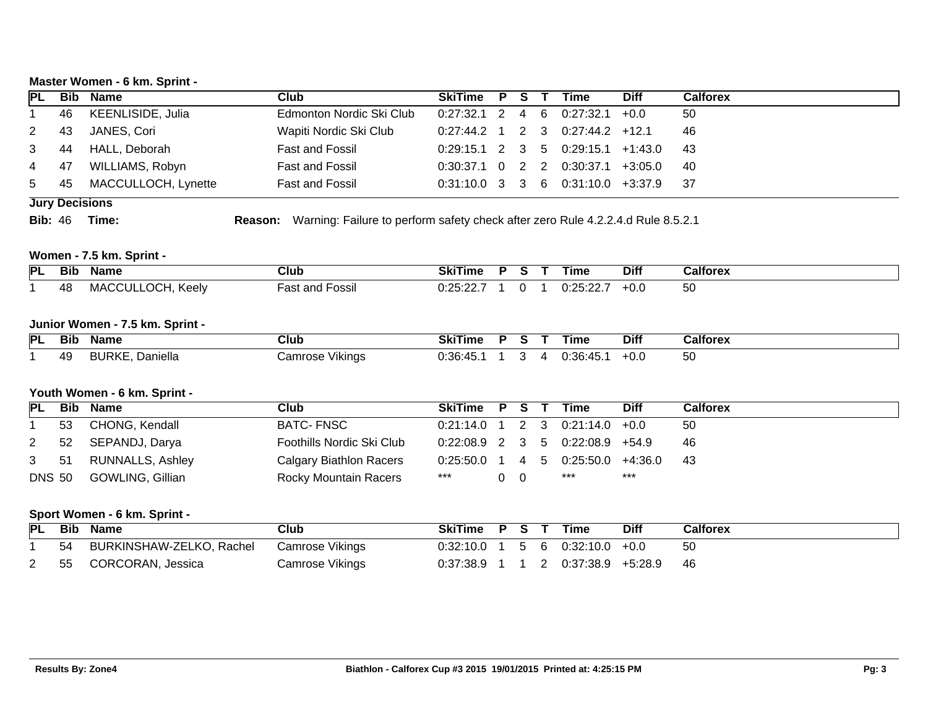# **Master Women - 6 km. Sprint -**

| <b>PL</b>     |                       | <b>Bib Name</b>     | <b>Club</b>              | SkiTime P S T Time |  |                                       | <b>Diff</b> | <b>Calforex</b> |
|---------------|-----------------------|---------------------|--------------------------|--------------------|--|---------------------------------------|-------------|-----------------|
|               | 46                    | KEENLISIDE, Julia   | Edmonton Nordic Ski Club |                    |  | $0:27:32.1$ 2 4 6 0:27:32.1 +0.0      |             | 50              |
| $2^{\circ}$   | 43                    | JANES, Cori         | Wapiti Nordic Ski Club   |                    |  | $0:27:44.2$ 1 2 3 0:27:44.2 +12.1     |             | 46              |
| $3 \qquad 44$ |                       | HALL, Deborah       | Fast and Fossil          |                    |  | $0:29:15.1$ 2 3 5 0:29:15.1 +1:43.0   |             | - 43            |
| 4 47          |                       | WILLIAMS, Robyn     | <b>Fast and Fossil</b>   |                    |  | $0:30:37.1$ 0 2 2 0:30:37.1 +3:05.0   |             | -40             |
|               | 5 45                  | MACCULLOCH, Lynette | <b>Fast and Fossil</b>   |                    |  | $0:31:10.0$ 3 3 6 $0:31:10.0$ +3:37.9 |             | - 37            |
|               | <b>Jury Decisions</b> |                     |                          |                    |  |                                       |             |                 |

**Bib:** 46 **Time: Reason:** Warning: Failure to perform safety check after zero Rule 4.2.2.4.d Rule 8.5.2.1

# **Women - 7.5 km. Sprint -**

| PL | Bit       | Name                         | Club                                | ı ıme<br>ЭN.        |  | --<br>Γime    | <b>Diff</b> | Calforex |
|----|-----------|------------------------------|-------------------------------------|---------------------|--|---------------|-------------|----------|
|    | 48<br>rv. | Keelv<br>$.71 \text{A}$<br>ᄮ | ⊢ossıl<br>ה ה.<br>nno<br>dS<br>allu | $\cdots$<br>nr<br>. |  | ∩.∩<br>◡.←◡.← | -v.u        | 50       |

#### **Junior Women - 7.5 km. Sprint -**

| PL | <b>The Second Contract of Second</b><br>Bit | Name                         | Club               | ----<br><b>Skillme</b> |  | ıme       | <b>Diff</b> | Calforex |
|----|---------------------------------------------|------------------------------|--------------------|------------------------|--|-----------|-------------|----------|
|    | 49                                          | <br><b>BURK'</b><br>Daniella | ∶amrose<br>Vikinas | $\cdots$<br>.<br>т.,   |  | ה?י∩<br>. | +∪.∪        | vv       |

# **Youth Women - 6 km. Sprint -**

| PL            | <b>Bib Name</b>       | Club                      | SkiTime P S T Time |     |  |                                       | <b>Diff</b> | <b>Calforex</b> |
|---------------|-----------------------|---------------------------|--------------------|-----|--|---------------------------------------|-------------|-----------------|
|               | 53 CHONG, Kendall     | BATC- FNSC                |                    |     |  | $0:21:14.0$ 1 2 3 0:21:14.0 +0.0      |             | -50             |
| $2 \quad$     | 52 SEPANDJ, Darya     | Foothills Nordic Ski Club |                    |     |  | $0:22:08.9$ 2 3 5 0:22:08.9 +54.9     |             | - 46            |
|               | 3 51 RUNNALLS, Ashley | Calgary Biathlon Racers   |                    |     |  | $0:25:50.0$ 1 4 5 $0:25:50.0$ +4:36.0 |             | - 43            |
| <b>DNS 50</b> | GOWLING, Gillian      | Rocky Mountain Racers     | ***                | റ റ |  | ***                                   | ***         |                 |

# **Sport Women - 6 km. Sprint -**

|    | PL Bib Name              | Club            | SkiTime P S T |  | Time                                  | <b>Diff</b> | <b>Calforex</b> |
|----|--------------------------|-----------------|---------------|--|---------------------------------------|-------------|-----------------|
| 54 | BURKINSHAW-ZELKO, Rachel | Camrose Vikings |               |  | $0.32:10.0$ 1 5 6 0.32:10.0 +0.0      |             | 50              |
|    | 2 55 CORCORAN, Jessica   | Camrose Vikings |               |  | $0.37:38.9$ 1 1 2 $0.37:38.9$ +5.28.9 |             | - 46            |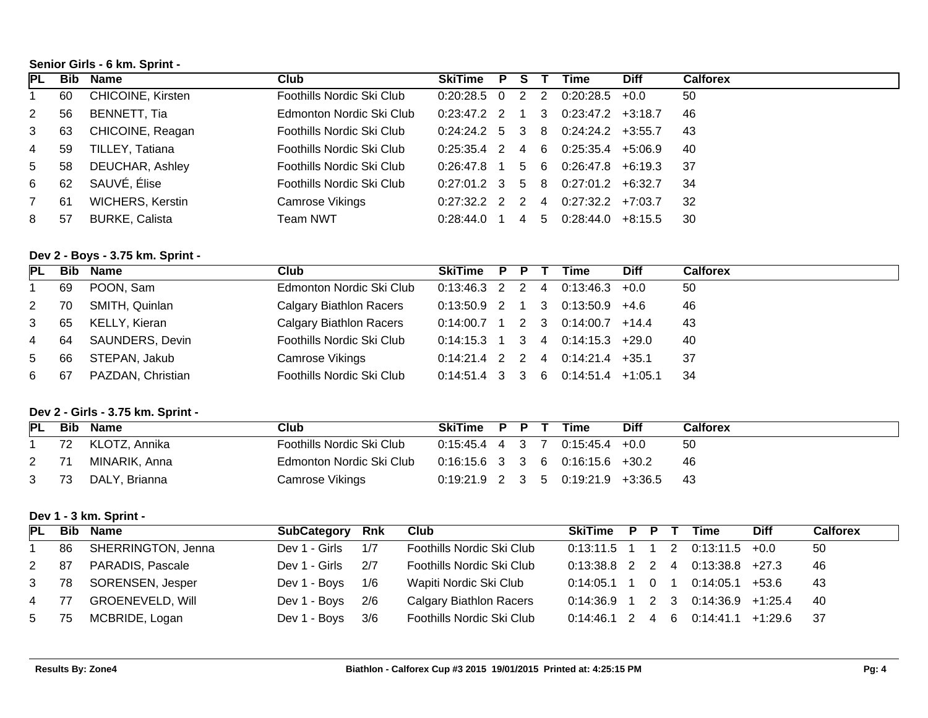# **Senior Girls - 6 km. Sprint -**

| PL          |     | <b>Bib Name</b>         | Club                      | <b>SkiTime</b>    | P |     |    | Time                  | <b>Diff</b> | <b>Calforex</b> |
|-------------|-----|-------------------------|---------------------------|-------------------|---|-----|----|-----------------------|-------------|-----------------|
|             | 60  | CHICOINE, Kirsten       | Foothills Nordic Ski Club | $0:20:28.5$ 0     |   | 2   | 2  | 0:20:28.5             | $+0.0$      | 50              |
| 2           | 56  | BENNETT, Tia            | Edmonton Nordic Ski Club  | $0:23:47.2$ 2     |   | 1 3 |    | $0:23:47.2$ +3:18.7   |             | 46              |
| 3           | 63  | CHICOINE, Reagan        | Foothills Nordic Ski Club | $0:24:24.2$ 5 3 8 |   |     |    | $0:24:24.2$ $+3:55.7$ |             | -43             |
| 4           | 59  | TILLEY, Tatiana         | Foothills Nordic Ski Club | $0:25:35.4$ 2     |   | 4 6 |    | $0:25:35.4$ +5:06.9   |             | -40             |
| $5^{\circ}$ | 58  | <b>DEUCHAR, Ashley</b>  | Foothills Nordic Ski Club | $0:26:47.8$ 1     |   | 5 6 |    | $0:26:47.8$ +6:19.3   |             | - 37            |
| 6           | 62  | SAUVÉ, Élise            | Foothills Nordic Ski Club | $0:27:01.2$ 3 5 8 |   |     |    | $0:27:01.2$ +6:32.7   |             | 34              |
|             | -61 | <b>WICHERS, Kerstin</b> | Camrose Vikings           | $0:27:32.2$ 2 2 4 |   |     |    | $0:27:32.2$ +7:03.7   |             | -32             |
| 8           | 57  | <b>BURKE, Calista</b>   | Team NWT                  | 0:28:44.0         |   | 4   | -5 | 0:28:44.0             | +8:15.5     | -30             |

# **Dev 2 - Boys - 3.75 km. Sprint -**

| <b>PL</b>      |    | <b>Bib Name</b>   | Club                      | SkiTime P                   | P. | Time                          | <b>Diff</b> | <b>Calforex</b> |
|----------------|----|-------------------|---------------------------|-----------------------------|----|-------------------------------|-------------|-----------------|
|                | 69 | POON, Sam         | Edmonton Nordic Ski Club  | 0:13:46.3 2 2 4             |    | $0:13:46.3$ +0.0              |             | -50             |
| $2 \quad$      | 70 | SMITH, Quinlan    | Calgary Biathlon Racers   |                             |    | 0:13:50.9 2 1 3 0:13:50.9     | +4.6        | 46              |
| 3              | 65 | KELLY, Kieran     | Calgary Biathlon Racers   | $0.14.00.7$ 1 2 3 0.14.00.7 |    |                               | $+14.4$     | -43             |
| $\overline{4}$ | 64 | SAUNDERS, Devin   | Foothills Nordic Ski Club | $0:14:15.3$ 1 3 4 0:14:15.3 |    |                               | +29.0       | -40             |
| 5              | 66 | STEPAN, Jakub     | Camrose Vikings           |                             |    | $0:14.21.4$ 2 2 4 $0:14.21.4$ | $+35.1$     | -37             |
| 6              | 67 | PAZDAN, Christian | Foothills Nordic Ski Club | 0:14:51.4 3 3 6             |    | 0:14:51.4                     | $+1:05.1$   | - 34            |

# **Dev 2 - Girls - 3.75 km. Sprint -**

| PL           | Bib | Name             | Club                      | SkiTime P P T |  | Time                                   | <b>Diff</b> | <b>Calforex</b> |
|--------------|-----|------------------|---------------------------|---------------|--|----------------------------------------|-------------|-----------------|
|              |     | 72 KLOTZ, Annika | Foothills Nordic Ski Club |               |  | $0:15:45.4$ 4 3 7 0:15:45.4 +0.0       |             | -50             |
| $\mathbf{2}$ | -71 | MINARIK, Anna    | Edmonton Nordic Ski Club  |               |  | $0:16:15.6$ 3 3 6 0:16:15.6 +30.2      |             | -46             |
| 3            | 73  | DALY, Brianna    | Camrose Vikings           |               |  | $0:19:21.9$ 2 3 5 0:19:21.9 +3:36.5 43 |             |                 |

# **Dev 1 - 3 km. Sprint -**

| <b>PL</b>      | <b>Bib</b> | Name                    | SubCategory   | <b>Rnk</b> | Club                      | SkiTime P P T     |  | <b>Time</b>                      | <b>Diff</b> | <b>Calforex</b> |
|----------------|------------|-------------------------|---------------|------------|---------------------------|-------------------|--|----------------------------------|-------------|-----------------|
|                | 86         | SHERRINGTON, Jenna      | Dev 1 - Girls | 1/7        | Foothills Nordic Ski Club |                   |  | $0:13:11.5$ 1 1 2 0:13:11.5 +0.0 |             | 50              |
| $2^{\circ}$    | 87         | PARADIS, Pascale        | Dev 1 - Girls | 2/7        | Foothills Nordic Ski Club | $0:13:38.8$ 2 2 4 |  | $0:13:38.8$ +27.3                |             | 46              |
| 3              | 78         | SORENSEN, Jesper        | Dev 1 - Boys  | 1/6        | Wapiti Nordic Ski Club    | $0:14:05.1$ 1 0 1 |  | 0:14:05.1                        | +53.6       | 43              |
| $\overline{4}$ | 77         | <b>GROENEVELD, Will</b> | Dev 1 - Boys  | 2/6        | Calgary Biathlon Racers   | $0:14:36.9$ 1 2 3 |  | $0:14:36.9$ +1:25.4              |             | -40             |
| 5              | 75         | MCBRIDE, Logan          | Dev 1 - Boys  | 3/6        | Foothills Nordic Ski Club | $0:14:46.1$ 2 4 6 |  | $0:14:41.1$ +1:29.6              |             | - 37            |